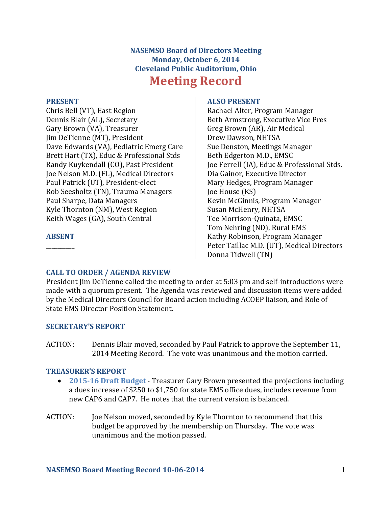## **NASEMSO Board of Directors Meeting Monday, October 6, 2014 Cleveland Public Auditorium, Ohio Meeting Record**

#### **PRESENT**

Chris Bell (VT), East Region Dennis Blair (AL), Secretary Gary Brown (VA), Treasurer Jim DeTienne (MT), President Dave Edwards (VA), Pediatric Emerg Care Brett Hart (TX), Educ & Professional Stds Randy Kuykendall (CO), Past President Joe Nelson M.D. (FL), Medical Directors Paul Patrick (UT), President-elect Rob Seesholtz (TN), Trauma Managers Paul Sharpe, Data Managers Kyle Thornton (NM), West Region Keith Wages (GA), South Central

## **ABSENT**  $\overline{\phantom{a}}$

#### **ALSO PRESENT**

Rachael Alter, Program Manager Beth Armstrong, Executive Vice Pres Greg Brown (AR), Air Medical Drew Dawson, NHTSA Sue Denston, Meetings Manager Beth Edgerton M.D., EMSC Joe Ferrell (IA), Educ & Professional Stds. Dia Gainor, Executive Director Mary Hedges, Program Manager Joe House (KS) Kevin McGinnis, Program Manager Susan McHenry, NHTSA Tee Morrison-Quinata, EMSC Tom Nehring (ND), Rural EMS Kathy Robinson, Program Manager Peter Taillac M.D. (UT), Medical Directors Donna Tidwell (TN)

## **CALL TO ORDER / AGENDA REVIEW**

President Jim DeTienne called the meeting to order at 5:03 pm and self-introductions were made with a quorum present. The Agenda was reviewed and discussion items were added by the Medical Directors Council for Board action including ACOEP liaison, and Role of State EMS Director Position Statement.

## **SECRETARY'S REPORT**

ACTION: Dennis Blair moved, seconded by Paul Patrick to approve the September 11, 2014 Meeting Record. The vote was unanimous and the motion carried.

## **TREASURER'S REPORT**

- **2015-16 Draft Budget** Treasurer Gary Brown presented the projections including a dues increase of \$250 to \$1,750 for state EMS office dues, includes revenue from new CAP6 and CAP7. He notes that the current version is balanced.
- ACTION: Joe Nelson moved, seconded by Kyle Thornton to recommend that this budget be approved by the membership on Thursday. The vote was unanimous and the motion passed.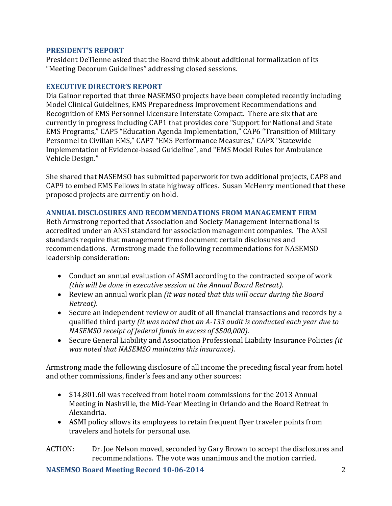#### **PRESIDENT'S REPORT**

President DeTienne asked that the Board think about additional formalization of its "Meeting Decorum Guidelines" addressing closed sessions.

#### **EXECUTIVE DIRECTOR'S REPORT**

Dia Gainor reported that three NASEMSO projects have been completed recently including Model Clinical Guidelines, EMS Preparedness Improvement Recommendations and Recognition of EMS Personnel Licensure Interstate Compact. There are six that are currently in progress including CAP1 that provides core "Support for National and State EMS Programs," CAP5 "Education Agenda Implementation," CAP6 "Transition of Military Personnel to Civilian EMS," CAP7 "EMS Performance Measures," CAPX "Statewide Implementation of Evidence-based Guideline", and "EMS Model Rules for Ambulance Vehicle Design."

She shared that NASEMSO has submitted paperwork for two additional projects, CAP8 and CAP9 to embed EMS Fellows in state highway offices. Susan McHenry mentioned that these proposed projects are currently on hold.

## **ANNUAL DISCLOSURES AND RECOMMENDATIONS FROM MANAGEMENT FIRM**

Beth Armstrong reported that Association and Society Management International is accredited under an ANSI standard for association management companies. The ANSI standards require that management firms document certain disclosures and recommendations. Armstrong made the following recommendations for NASEMSO leadership consideration:

- Conduct an annual evaluation of ASMI according to the contracted scope of work *(this will be done in executive session at the Annual Board Retreat)*.
- Review an annual work plan *(it was noted that this will occur during the Board Retreat)*.
- Secure an independent review or audit of all financial transactions and records by a qualified third party *(it was noted that an A-133 audit is conducted each year due to NASEMSO receipt of federal funds in excess of \$500,000)*.
- Secure General Liability and Association Professional Liability Insurance Policies *(it was noted that NASEMSO maintains this insurance)*.

Armstrong made the following disclosure of all income the preceding fiscal year from hotel and other commissions, finder's fees and any other sources:

- \$14,801.60 was received from hotel room commissions for the 2013 Annual Meeting in Nashville, the Mid-Year Meeting in Orlando and the Board Retreat in Alexandria.
- ASMI policy allows its employees to retain frequent flyer traveler points from travelers and hotels for personal use.

ACTION: Dr. Joe Nelson moved, seconded by Gary Brown to accept the disclosures and recommendations. The vote was unanimous and the motion carried.

**NASEMSO Board Meeting Record 10-06-2014** 2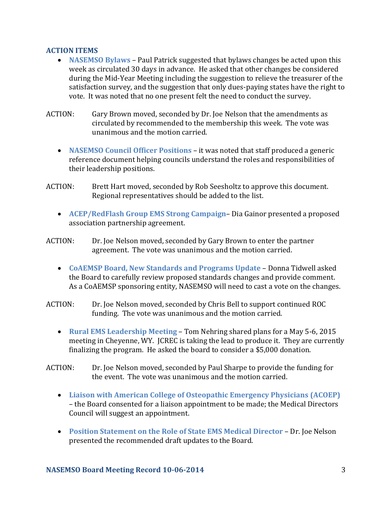## **ACTION ITEMS**

- **NASEMSO Bylaws** Paul Patrick suggested that bylaws changes be acted upon this week as circulated 30 days in advance. He asked that other changes be considered during the Mid-Year Meeting including the suggestion to relieve the treasurer of the satisfaction survey, and the suggestion that only dues-paying states have the right to vote. It was noted that no one present felt the need to conduct the survey.
- ACTION: Gary Brown moved, seconded by Dr. Joe Nelson that the amendments as circulated by recommended to the membership this week. The vote was unanimous and the motion carried.
	- **NASEMSO Council Officer Positions** it was noted that staff produced a generic reference document helping councils understand the roles and responsibilities of their leadership positions.
- ACTION: Brett Hart moved, seconded by Rob Seesholtz to approve this document. Regional representatives should be added to the list.
	- **ACEP/RedFlash Group EMS Strong Campaign** Dia Gainor presented a proposed association partnership agreement.
- ACTION: Dr. Joe Nelson moved, seconded by Gary Brown to enter the partner agreement. The vote was unanimous and the motion carried.
	- **CoAEMSP Board, New Standards and Programs Update** Donna Tidwell asked the Board to carefully review proposed standards changes and provide comment. As a CoAEMSP sponsoring entity, NASEMSO will need to cast a vote on the changes.
- ACTION: Dr. Joe Nelson moved, seconded by Chris Bell to support continued ROC funding. The vote was unanimous and the motion carried.
	- **Rural EMS Leadership Meeting** Tom Nehring shared plans for a May 5-6, 2015 meeting in Cheyenne, WY. JCREC is taking the lead to produce it. They are currently finalizing the program. He asked the board to consider a \$5,000 donation.
- ACTION: Dr. Joe Nelson moved, seconded by Paul Sharpe to provide the funding for the event. The vote was unanimous and the motion carried.
	- **Liaison with American College of Osteopathic Emergency Physicians (ACOEP)** – the Board consented for a liaison appointment to be made; the Medical Directors Council will suggest an appointment.
	- **Position Statement on the Role of State EMS Medical Director Dr. Joe Nelson** presented the recommended draft updates to the Board.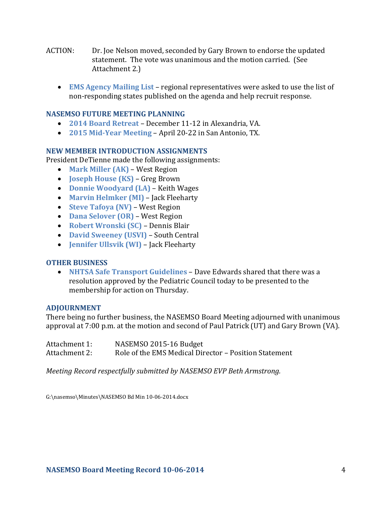- ACTION: Dr. Joe Nelson moved, seconded by Gary Brown to endorse the updated statement. The vote was unanimous and the motion carried. (See Attachment 2.)
	- **EMS Agency Mailing List**  regional representatives were asked to use the list of non-responding states published on the agenda and help recruit response.

## **NASEMSO FUTURE MEETING PLANNING**

- **2014 Board Retreat**  December 11-12 in Alexandria, VA.
- **2015 Mid-Year Meeting** April 20-22 in San Antonio, TX.

## **NEW MEMBER INTRODUCTION ASSIGNMENTS**

President DeTienne made the following assignments:

- **Mark Miller (AK)** West Region
- **Joseph House (KS)**  Greg Brown
- **Donnie Woodyard (LA)** Keith Wages
- **Marvin Helmker (MI)**  Jack Fleeharty
- **Steve Tafoya (NV)**  West Region
- **Dana Selover (OR)**  West Region
- **Robert Wronski (SC)**  Dennis Blair
- **David Sweeney (USVI)**  South Central
- **Jennifer Ullsvik (WI)**  Jack Fleeharty

## **OTHER BUSINESS**

 **NHTSA Safe Transport Guidelines** – Dave Edwards shared that there was a resolution approved by the Pediatric Council today to be presented to the membership for action on Thursday.

## **ADJOURNMENT**

There being no further business, the NASEMSO Board Meeting adjourned with unanimous approval at 7:00 p.m. at the motion and second of Paul Patrick (UT) and Gary Brown (VA).

| Attachment 1: | NASEMSO 2015-16 Budget                                |
|---------------|-------------------------------------------------------|
| Attachment 2: | Role of the EMS Medical Director - Position Statement |

*Meeting Record respectfully submitted by NASEMSO EVP Beth Armstrong.*

G:\nasemso\Minutes\NASEMSO Bd Min 10-06-2014.docx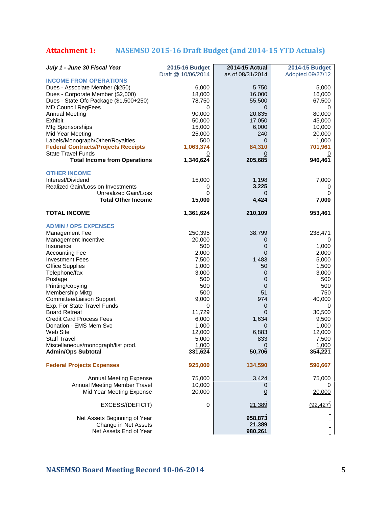# **Attachment 1: NASEMSO 2015-16 Draft Budget (and 2014-15 YTD Actuals)**

| July 1 - June 30 Fiscal Year                                     | 2015-16 Budget<br>Draft @ 10/06/2014 | <b>2014-15 Actual</b><br>as of 08/31/2014 | <b>2014-15 Budget</b><br>Adopted 09/27/12 |
|------------------------------------------------------------------|--------------------------------------|-------------------------------------------|-------------------------------------------|
| <b>INCOME FROM OPERATIONS</b>                                    |                                      |                                           |                                           |
| Dues - Associate Member (\$250)                                  | 6,000                                | 5,750                                     | 5,000                                     |
| Dues - Corporate Member (\$2,000)                                | 18,000                               | 16,000                                    | 16,000                                    |
| Dues - State Ofc Package (\$1,500+250)                           | 78,750                               | 55,500                                    | 67,500                                    |
| <b>MD Council RegFees</b>                                        | 0                                    | 0                                         | 0                                         |
| <b>Annual Meeting</b>                                            | 90,000                               | 20,835                                    | 80,000                                    |
| Exhibit                                                          | 50,000                               | 17,050                                    | 45,000                                    |
| Mtg Sponsorships                                                 | 15,000                               | 6,000                                     | 10,000                                    |
| Mid Year Meeting                                                 | 25,000                               | 240                                       | 20,000                                    |
| Labels/Monograph/Other/Royalties                                 | 500                                  | 0                                         | 1,000                                     |
| <b>Federal Contracts/Projects Receipts</b>                       | 1,063,374                            | 84,310                                    | 701,961                                   |
| <b>State Travel Funds</b><br><b>Total Income from Operations</b> | 1,346,624                            | 205,685                                   | 946,461                                   |
|                                                                  |                                      |                                           |                                           |
| <b>OTHER INCOME</b>                                              |                                      |                                           |                                           |
| Interest/Dividend<br>Realized Gain/Loss on Investments           | 15,000                               | 1,198<br>3,225                            | 7,000                                     |
| Unrealized Gain/Loss                                             | 0<br>0                               | 0                                         | 0<br>$\overline{0}$                       |
| <b>Total Other Income</b>                                        | 15,000                               | 4,424                                     | 7,000                                     |
| <b>TOTAL INCOME</b>                                              | 1,361,624                            | 210,109                                   | 953,461                                   |
| <b>ADMIN / OPS EXPENSES</b>                                      |                                      |                                           |                                           |
| Management Fee                                                   | 250,395                              | 38,799                                    | 238,471                                   |
| Management Incentive                                             | 20,000                               | 0                                         | 0                                         |
| Insurance                                                        | 500                                  | 0                                         | 1,000                                     |
| <b>Accounting Fee</b>                                            | 2,000                                | 0                                         | 2,000                                     |
| <b>Investment Fees</b>                                           | 7,500                                | 1,483                                     | 5,000                                     |
| <b>Office Supplies</b>                                           | 1,000                                | 50                                        | 1,500                                     |
| Telephone/fax                                                    | 3,000                                | 0                                         | 3,000                                     |
| Postage                                                          | 500                                  | $\mathbf 0$                               | 500                                       |
| Printing/copying                                                 | 500                                  | $\mathbf 0$                               | 500                                       |
| Membership Mktg                                                  | 500                                  | 51                                        | 750                                       |
| Committee/Liaison Support                                        | 9,000                                | 974                                       | 40,000                                    |
| Exp. For State Travel Funds                                      | 0                                    | 0                                         | $\mathbf 0$                               |
| <b>Board Retreat</b><br><b>Credit Card Process Fees</b>          | 11,729                               | $\mathbf{0}$<br>1,634                     | 30,500                                    |
| Donation - EMS Mem Svc                                           | 6,000<br>1,000                       | 0                                         | 9,500<br>1,000                            |
| Web Site                                                         | 12,000                               | 6,883                                     | 12,000                                    |
| <b>Staff Travel</b>                                              | 5,000                                | 833                                       | 7,500                                     |
| Miscellaneous/monograph/list prod.                               | 1,000                                | 0                                         | 1,000                                     |
| <b>Admin/Ops Subtotal</b>                                        | 331,624                              | 50,706                                    | 354,221                                   |
| <b>Federal Projects Expenses</b>                                 | 925,000                              | 134,590                                   | 596,667                                   |
| <b>Annual Meeting Expense</b>                                    | 75,000                               | 3,424                                     | 75,000                                    |
| Annual Meeting Member Travel                                     | 10,000                               | 0                                         | 0                                         |
| Mid Year Meeting Expense                                         | 20,000                               | $\underline{0}$                           | 20,000                                    |
| EXCESS/(DEFICIT)                                                 | 0                                    | 21,389                                    | (92, 427)                                 |
| Net Assets Beginning of Year                                     |                                      | 958,873                                   |                                           |
| Change in Net Assets                                             |                                      | 21,389                                    |                                           |
| Net Assets End of Year                                           |                                      | 980,261                                   |                                           |